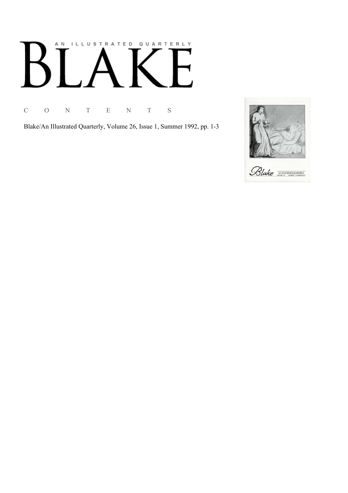# AN ILLUSTRATED QUARTERLY

C O N T E N T S

Blake/An Illustrated Quarterly, Volume 26, Issue 1, Summer 1992, pp. 1-3

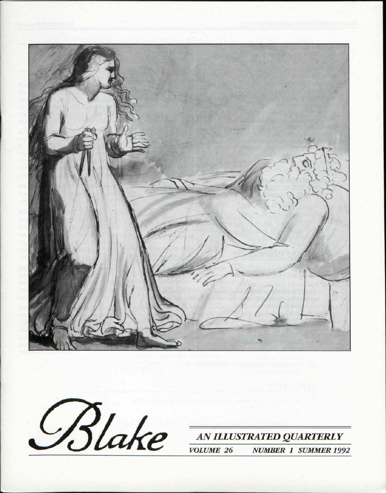

Blake

AN ILLUSTRATED QUARTERLY **VOLUME 26 NUMBER 1 SUMMER 1992**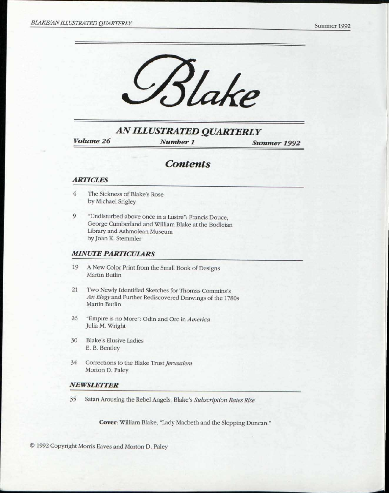

*AN ILLUSTRATED QUARTERLY* 

*Volume 26 Number 1 Summer 1992* 

## *Contents*

### *ARTICLES*

- *4* The Sickness of Blake's Rose by Michael Srigley
- 9 "Undisturbed above once in a Lustre": Francis Douce, George Cumberland and William Blake at the Bodleian Library and Ashmolean Museum by Joan K. Stemmler

### *MINUTE PARTICULARS*

- 19 A New Color Print from the Small Book of Designs Martin Butlin
- 21 Two Newly Identified Sketches for Thomas Commins's *An Elegy* and Further Rediscovered Drawings of the 1780s Martin Butlin
- 26 "Empire is no More": Odin and Ore in *America*  Julia M. Wright
- 30 Blake's Elusive Ladies E. B. Bentley
- 34 Corrections to the Blake Trust *Jerusalem*  Morton D. Paley

### *NEWSLETTER*

35 Satan Arousing the Rebel Angels, Blake's *Subscription Rates Rise* 

Cover: William Blake, "Lady Macbeth and the Slepping Duncan."

© 1992 Copyright Morris Eaves and Morton D. Paley